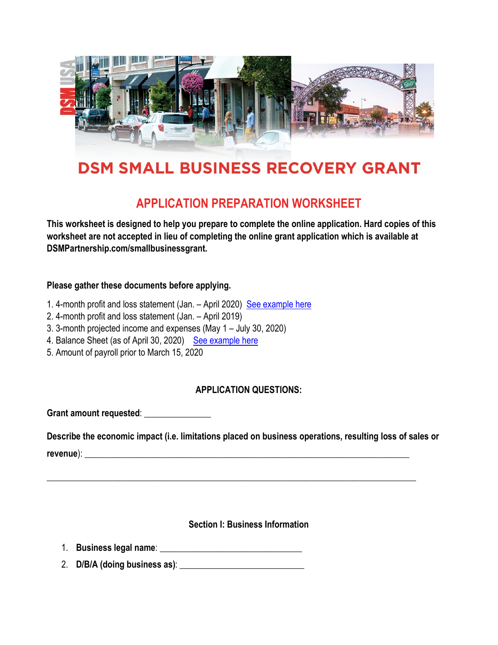

# **DSM SMALL BUSINESS RECOVERY GRANT**

# **APPLICATION PREPARATION WORKSHEET**

**This worksheet is designed to help you prepare to complete the online application. Hard copies of this worksheet are not accepted in lieu of completing the online grant application which is available at DSMPartnership.com/smallbusinessgrant.** 

#### **Please gather these documents before applying.**

- 1. 4-month profit and loss statement (Jan. April 2020) See example here
- 2. 4-month profit and loss statement (Jan. April 2019)
- 3. 3-month projected income and expenses (May 1 July 30, 2020)
- 4. Balance Sheet (as of April 30, 2020) See example here
- 5. Amount of payroll prior to March 15, 2020

### **APPLICATION QUESTIONS:**

Grant amount requested:

**Describe the economic impact (i.e. limitations placed on business operations, resulting loss of sales or revenue**): \_\_\_\_\_\_\_\_\_\_\_\_\_\_\_\_\_\_\_\_\_\_\_\_\_\_\_\_\_\_\_\_\_\_\_\_\_\_\_\_\_\_\_\_\_\_\_\_\_\_\_\_\_\_\_\_\_\_\_\_\_\_\_\_\_\_\_\_\_\_\_\_\_

\_\_\_\_\_\_\_\_\_\_\_\_\_\_\_\_\_\_\_\_\_\_\_\_\_\_\_\_\_\_\_\_\_\_\_\_\_\_\_\_\_\_\_\_\_\_\_\_\_\_\_\_\_\_\_\_\_\_\_\_\_\_\_\_\_\_\_\_\_\_\_\_\_\_\_\_\_\_\_\_\_\_\_

#### **Section I: Business Information**

- 1. **Business legal name**: \_\_\_\_\_\_\_\_\_\_\_\_\_\_\_\_\_\_\_\_\_\_\_\_\_\_\_\_\_\_\_\_
- 2. **D/B/A (doing business as)**: \_\_\_\_\_\_\_\_\_\_\_\_\_\_\_\_\_\_\_\_\_\_\_\_\_\_\_\_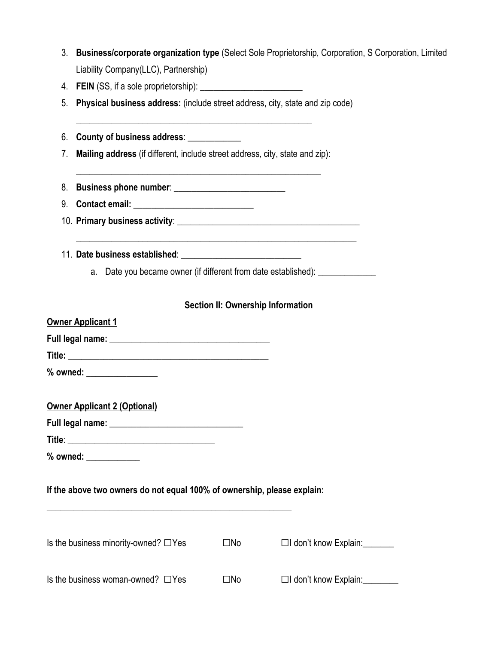| ა. . | <b>Business/corporate organization type (Select Sole Proprietorship, Corporation, S Corporation, Limited</b> |
|------|--------------------------------------------------------------------------------------------------------------|
|      | Liability Company(LLC), Partnership)                                                                         |

- 4. **FEIN** (SS, if a sole proprietorship): \_\_\_\_\_\_\_\_\_\_\_\_\_\_\_\_\_\_\_\_\_\_\_
- 5. **Physical business address:** (include street address, city, state and zip code)

6. **County of business address**: \_\_\_\_\_\_\_\_\_\_\_\_

7. **Mailing address** (if different, include street address, city, state and zip):

\_\_\_\_\_\_\_\_\_\_\_\_\_\_\_\_\_\_\_\_\_\_\_\_\_\_\_\_\_\_\_\_\_\_\_\_\_\_\_\_\_\_\_\_\_\_\_\_\_\_\_\_\_\_\_

\_\_\_\_\_\_\_\_\_\_\_\_\_\_\_\_\_\_\_\_\_\_\_\_\_\_\_\_\_\_\_\_\_\_\_\_\_\_\_\_\_\_\_\_\_\_\_\_\_\_\_\_\_

- 8. **Business phone number**: \_\_\_\_\_\_\_\_\_\_\_\_\_\_\_\_\_\_\_\_\_\_\_\_\_
- 9. **Contact email:** \_\_\_\_\_\_\_\_\_\_\_\_\_\_\_\_\_\_\_\_\_\_\_\_\_\_\_
- 10. **Primary business activity**: \_\_\_\_\_\_\_\_\_\_\_\_\_\_\_\_\_\_\_\_\_\_\_\_\_\_\_\_\_\_\_\_\_\_\_\_\_\_\_\_\_

\_\_\_\_\_\_\_\_\_\_\_\_\_\_\_\_\_\_\_\_\_\_\_\_\_\_\_\_\_\_\_\_\_\_\_\_\_\_\_\_\_\_\_\_\_\_\_\_\_\_\_\_\_\_\_\_\_\_\_\_\_\_\_

- 11. **Date business established**: \_\_\_\_\_\_\_\_\_\_\_\_\_\_\_\_\_\_\_\_\_\_\_\_\_\_\_
	- a. Date you became owner (if different from date established): \_\_\_\_\_\_\_\_\_\_\_\_\_\_\_\_\_

#### **Section II: Ownership Information**

| Owner Applicant 1             |  |
|-------------------------------|--|
| Full legal name: ____________ |  |
| Title:                        |  |
| % owned:                      |  |

**Full legal name:** \_\_\_\_\_\_\_\_\_\_\_\_\_\_\_\_\_\_\_\_\_\_\_\_\_\_\_\_\_\_

|--|

**% owned:** \_\_\_\_\_\_\_\_\_\_\_\_

#### **If the above two owners do not equal 100% of ownership, please explain:**

\_\_\_\_\_\_\_\_\_\_\_\_\_\_\_\_\_\_\_\_\_\_\_\_\_\_\_\_\_\_\_\_\_\_\_\_\_\_\_\_\_\_\_\_\_\_\_\_\_\_\_\_\_\_\_

| Is the business minority-owned? $\Box$ Yes | ΠNο | $\Box$ I don't know Explain: |
|--------------------------------------------|-----|------------------------------|
| Is the business woman-owned? $\Box$ Yes    | ⊟No | □I don't know Explain:       |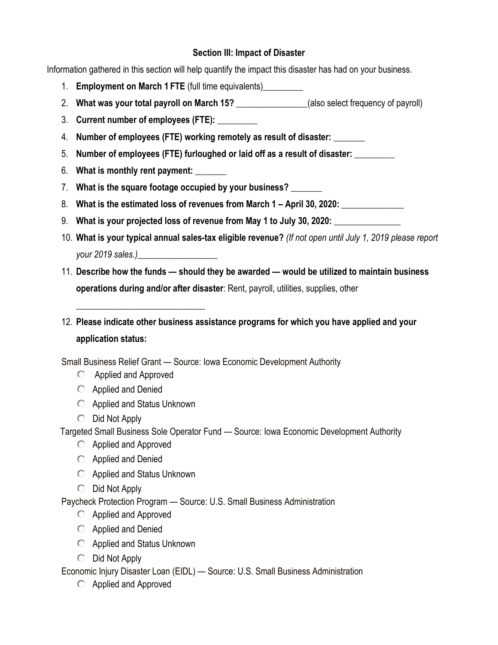#### **Section III: Impact of Disaster**

Information gathered in this section will help quantify the impact this disaster has had on your business.

- 1. **Employment on March 1 FTE** (full time equivalents)\_\_\_\_\_\_\_\_\_
- 2. **What was your total payroll on March 15?** \_\_\_\_\_\_\_\_\_\_\_\_\_\_\_\_(also select frequency of payroll)
- 3. **Current number of employees (FTE):** \_\_\_\_\_\_\_\_\_
- 4. **Number of employees (FTE) working remotely as result of disaster:** \_\_\_\_\_\_\_
- 5. **Number of employees (FTE) furloughed or laid off as a result of disaster:** \_\_\_\_\_\_\_\_\_
- 6. **What is monthly rent payment:** \_\_\_\_\_\_\_
- 7. **What is the square footage occupied by your business?** \_\_\_\_\_\_\_
- 8. **What is the estimated loss of revenues from March 1 – April 30, 2020:** \_\_\_\_\_\_\_\_\_\_\_\_\_\_
- 9. **What is your projected loss of revenue from May 1 to July 30, 2020:** \_\_\_\_\_\_\_\_\_\_\_\_\_\_\_
- 10. **What is your typical annual sales-tax eligible revenue?** *(If not open until July 1, 2019 please report your 2019 sales.)*\_\_\_\_\_\_\_\_\_\_\_\_\_\_\_\_\_\_
- 11. **Describe how the funds — should they be awarded — would be utilized to maintain business operations during and/or after disaster**: Rent, payroll, utilities, supplies, other
- 12. **Please indicate other business assistance programs for which you have applied and your application status:**

Small Business Relief Grant — Source: Iowa Economic Development Authority

- **C** Applied and Approved
- Applied and Denied
- **C** Applied and Status Unknown

\_\_\_\_\_\_\_\_\_\_\_\_\_\_\_\_\_\_\_\_\_\_\_\_\_\_\_\_\_

 $\bigcirc$  Did Not Apply

Targeted Small Business Sole Operator Fund — Source: Iowa Economic Development Authority

- **C** Applied and Approved
- **C** Applied and Denied
- Applied and Status Unknown
- $\bigcirc$  Did Not Apply

Paycheck Protection Program — Source: U.S. Small Business Administration

- **C** Applied and Approved
- **C** Applied and Denied
- **C** Applied and Status Unknown
- $\bigcirc$  Did Not Apply

Economic Injury Disaster Loan (EIDL) — Source: U.S. Small Business Administration

**C** Applied and Approved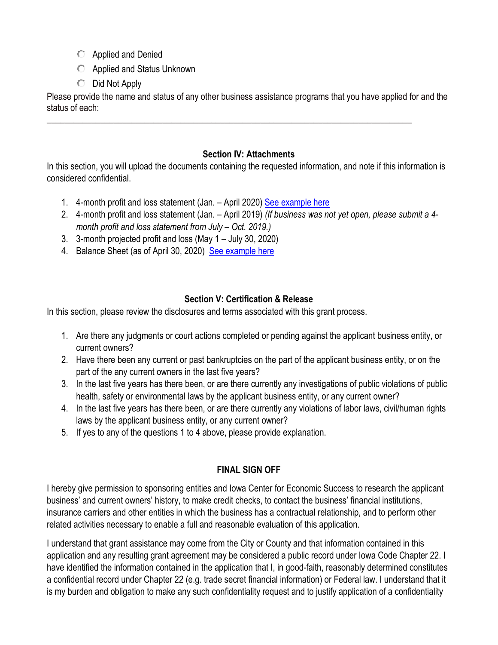- **C** Applied and Denied
- Applied and Status Unknown
- $\bigcirc$  Did Not Apply

Please provide the name and status of any other business assistance programs that you have applied for and the status of each:

\_\_\_\_\_\_\_\_\_\_\_\_\_\_\_\_\_\_\_\_\_\_\_\_\_\_\_\_\_\_\_\_\_\_\_\_\_\_\_\_\_\_\_\_\_\_\_\_\_\_\_\_\_\_\_\_\_\_\_\_\_\_\_\_\_\_\_\_\_\_\_\_\_\_\_\_\_\_\_\_\_\_

## **Section IV: Attachments**

In this section, you will upload the documents containing the requested information, and note if this information is considered confidential.

- 1. 4-month profit and loss statement (Jan. April 2020) See example here
- 2. 4-month profit and loss statement (Jan. April 2019) *(If business was not yet open, please submit a 4 month profit and loss statement from July – Oct. 2019.)*
- 3. 3-month projected profit and loss (May 1 July 30, 2020)
- 4. Balance Sheet (as of April 30, 2020) See example here

# **Section V: Certification & Release**

In this section, please review the disclosures and terms associated with this grant process.

- 1. Are there any judgments or court actions completed or pending against the applicant business entity, or current owners?
- 2. Have there been any current or past bankruptcies on the part of the applicant business entity, or on the part of the any current owners in the last five years?
- 3. In the last five years has there been, or are there currently any investigations of public violations of public health, safety or environmental laws by the applicant business entity, or any current owner?
- 4. In the last five years has there been, or are there currently any violations of labor laws, civil/human rights laws by the applicant business entity, or any current owner?
- 5. If yes to any of the questions 1 to 4 above, please provide explanation.

# **FINAL SIGN OFF**

I hereby give permission to sponsoring entities and Iowa Center for Economic Success to research the applicant business' and current owners' history, to make credit checks, to contact the business' financial institutions, insurance carriers and other entities in which the business has a contractual relationship, and to perform other related activities necessary to enable a full and reasonable evaluation of this application.

I understand that grant assistance may come from the City or County and that information contained in this application and any resulting grant agreement may be considered a public record under Iowa Code Chapter 22. I have identified the information contained in the application that I, in good-faith, reasonably determined constitutes a confidential record under Chapter 22 (e.g. trade secret financial information) or Federal law. I understand that it is my burden and obligation to make any such confidentiality request and to justify application of a confidentiality